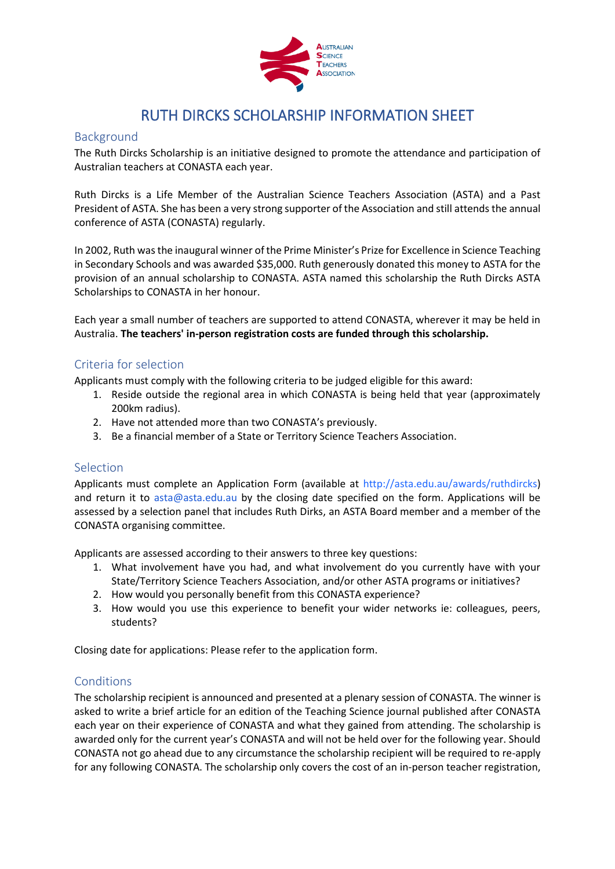

# RUTH DIRCKS SCHOLARSHIP INFORMATION SHEET

#### Background

The Ruth Dircks Scholarship is an initiative designed to promote the attendance and participation of Australian teachers at CONASTA each year.

Ruth Dircks is a Life Member of the Australian Science Teachers Association (ASTA) and a Past President of ASTA. She has been a very strong supporter of the Association and still attends the annual conference of ASTA (CONASTA) regularly.

In 2002, Ruth was the inaugural winner of the Prime Minister's Prize for Excellence in Science Teaching in Secondary Schools and was awarded \$35,000. Ruth generously donated this money to ASTA for the provision of an annual scholarship to CONASTA. ASTA named this scholarship the Ruth Dircks ASTA Scholarships to CONASTA in her honour.

Each year a small number of teachers are supported to attend CONASTA, wherever it may be held in Australia. **The teachers' in-person registration costs are funded through this scholarship.**

#### Criteria for selection

Applicants must comply with the following criteria to be judged eligible for this award:

- 1. Reside outside the regional area in which CONASTA is being held that year (approximately 200km radius).
- 2. Have not attended more than two CONASTA's previously.
- 3. Be a financial member of a State or Territory Science Teachers Association.

#### Selection

Applicants must complete an Application Form (available at http://asta.edu.au/awards/ruthdircks) and return it to asta@asta.edu.au by the closing date specified on the form. Applications will be assessed by a selection panel that includes Ruth Dirks, an ASTA Board member and a member of the CONASTA organising committee.

Applicants are assessed according to their answers to three key questions:

- 1. What involvement have you had, and what involvement do you currently have with your State/Territory Science Teachers Association, and/or other ASTA programs or initiatives?
- 2. How would you personally benefit from this CONASTA experience?
- 3. How would you use this experience to benefit your wider networks ie: colleagues, peers, students?

Closing date for applications: Please refer to the application form.

## Conditions

The scholarship recipient is announced and presented at a plenary session of CONASTA. The winner is asked to write a brief article for an edition of the Teaching Science journal published after CONASTA each year on their experience of CONASTA and what they gained from attending. The scholarship is awarded only for the current year's CONASTA and will not be held over for the following year. Should CONASTA not go ahead due to any circumstance the scholarship recipient will be required to re-apply for any following CONASTA. The scholarship only covers the cost of an in-person teacher registration,